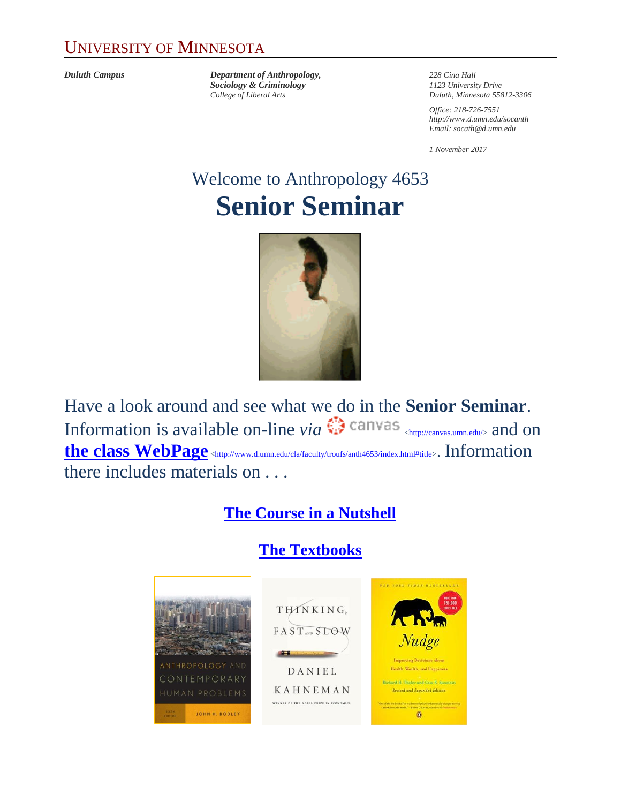#### UNIVERSITY OF MINNESOTA

*Duluth Campus Department of Anthropology, 228 Cina Hall Sociology & Criminology 1123 University Drive*

*College of Liberal Arts Duluth, Minnesota 55812-3306*

*Office: 218-726-7551 <http://www.d.umn.edu/socanth> Email: socath@d.umn.edu*

*1 November 2017*

# Welcome to Anthropology 4653 **Senior Seminar**



Have a look around and see what we do in the **Senior Seminar**. Information is available on-line *via*  $\mathbb{C}^n$  canvas  $\leftarrow$   $\leftarrow$   $\leftarrow$   $\leftarrow$   $\leftarrow$   $\leftarrow$   $\leftarrow$   $\leftarrow$   $\leftarrow$   $\leftarrow$   $\leftarrow$   $\leftarrow$   $\leftarrow$   $\leftarrow$   $\leftarrow$   $\leftarrow$   $\leftarrow$   $\leftarrow$   $\leftarrow$   $\leftarrow$   $\leftarrow$   $\leftarrow$   $\leftarrow$   $\leftarrow$   $\leftarrow$   $\leftarrow$   $\leftarrow$   $\$ **[the class WebPage](http://www.d.umn.edu/cla/faculty/troufs/anth4653/index.html#title)** [<http://www.d.umn.edu/cla/faculty/troufs/anth4653/index.html#title>](http://www.d.umn.edu/cla/faculty/troufs/anth4653/index.html#title). Information there includes materials on . . .

#### **[The Course in a Nutshell](http://www.d.umn.edu/cla/faculty/troufs/anth4653/ssinanutshell.html#title)**

# **[The Textbooks](http://www.d.umn.edu/cla/faculty/troufs/anth4653/sstext.html#title)**

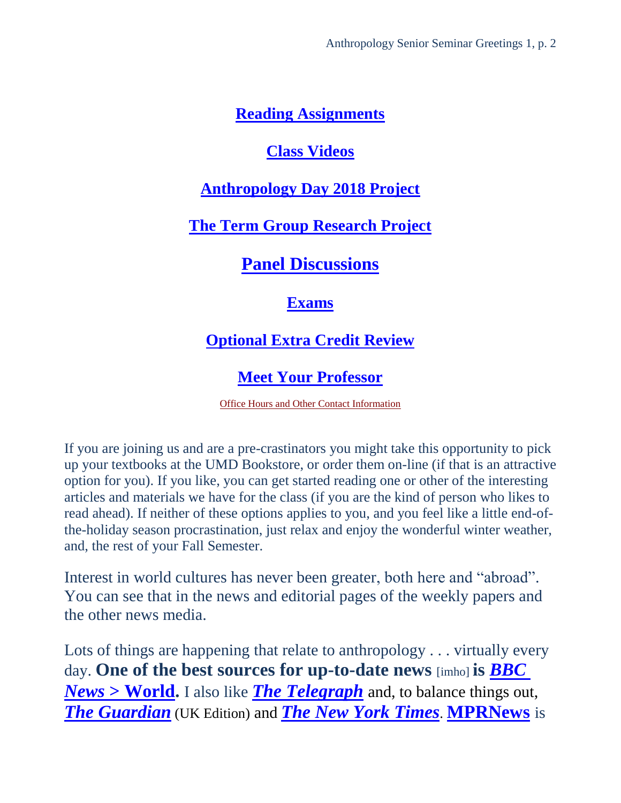#### **[Reading Assignments](http://www.d.umn.edu/cla/faculty/troufs/anth4653/ssread-s.html#title)**

#### **[Class Videos](http://www.d.umn.edu/cla/faculty/troufs/anth4653/ssvideo_schedule.html#title)**

#### **[Anthropology Day 2018 Project](http://www.d.umn.edu/cla/faculty/troufs/anth4653/ssanthropology_day.html#title)**

#### **The Term Group [Research Project](http://www.d.umn.edu/cla/faculty/troufs/anth4653/ssproject.html#title)**

# **[Panel Discussions](http://www.d.umn.edu/cla/faculty/troufs/anth4653/sspanel.html#title)**

#### **[Exams](http://www.d.umn.edu/cla/faculty/troufs/anth4653/ssexams_midterm.html#title)**

# **[Optional Extra Credit Review](http://www.d.umn.edu/cla/faculty/troufs/anth4653/ssextracredit_review.html#title)**

### **[Meet Your Professor](http://www.d.umn.edu/cla/faculty/troufs/MeetYourProfessor.html#title)**

[Office Hours and Other Contact Information](http://www.d.umn.edu/cla/faculty/troufs/anth1602/pcoffice.html#title)

If you are joining us and are a pre-crastinators you might take this opportunity to pick up your textbooks at the UMD Bookstore, or order them on-line (if that is an attractive option for you). If you like, you can get started reading one or other of the interesting articles and materials we have for the class (if you are the kind of person who likes to read ahead). If neither of these options applies to you, and you feel like a little end-ofthe-holiday season procrastination, just relax and enjoy the wonderful winter weather, and, the rest of your Fall Semester.

Interest in world cultures has never been greater, both here and "abroad". You can see that in the news and editorial pages of the weekly papers and the other news media.

Lots of things are happening that relate to anthropology . . . virtually every day. **One of the best sources for up-to-date news** [imho] **is** *[BBC](http://www.bbc.com/news/world)  News* **[> World.](http://www.bbc.com/news/world)** I also like *[The Telegraph](http://www.telegraph.co.uk/)* and, to balance things out, *[The Guardian](http://www.theguardian.com/uk)* (UK Edition) and *[The New York Times](http://www.nytimes.com/)*. **[MPRNews](https://www.mprnews.org/)** is